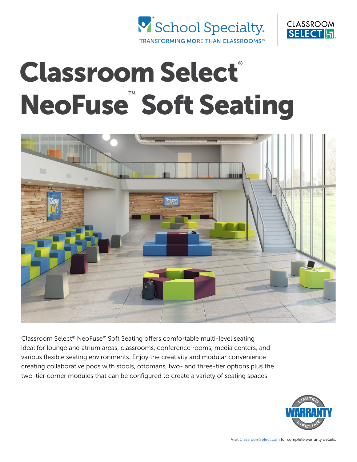



# Classroom Select® NeoFuse<sup>™</sup> Soft Seating



Classroom Select® NeoFuse™ Soft Seating offers comfortable multi-level seating ideal for lounge and atrium areas, classrooms, conference rooms, media centers, and various flexible seating environments. Enjoy the creativity and modular convenience creating collaborative pods with stools, ottomans, two- and three-tier options plus the two-tier corner modules that can be configured to create a variety of seating spaces.

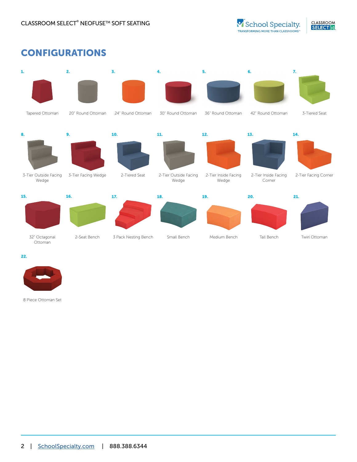# CONFIGURATIONS



22.



8 Piece Ottoman Set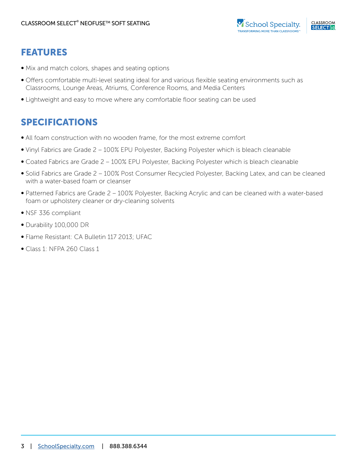## FEATURES

- Mix and match colors, shapes and seating options
- Offers comfortable multi-level seating ideal for and various flexible seating environments such as Classrooms, Lounge Areas, Atriums, Conference Rooms, and Media Centers
- Lightweight and easy to move where any comfortable floor seating can be used

# SPECIFICATIONS

- All foam construction with no wooden frame, for the most extreme comfort
- Vinyl Fabrics are Grade 2 100% EPU Polyester, Backing Polyester which is bleach cleanable
- Coated Fabrics are Grade 2 100% EPU Polyester, Backing Polyester which is bleach cleanable
- Solid Fabrics are Grade 2 100% Post Consumer Recycled Polyester, Backing Latex, and can be cleaned with a water-based foam or cleanser
- Patterned Fabrics are Grade 2 100% Polyester, Backing Acrylic and can be cleaned with a water-based foam or upholstery cleaner or dry-cleaning solvents
- NSF 336 compliant
- Durability 100,000 DR
- Flame Resistant: CA Bulletin 117 2013; UFAC
- Class 1: NFPA 260 Class 1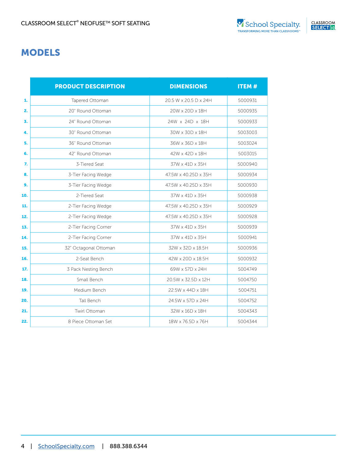# MODELS

|     | <b>PRODUCT DESCRIPTION</b> | <b>DIMENSIONS</b>     | <b>ITEM#</b> |
|-----|----------------------------|-----------------------|--------------|
| 1.  | Tapered Ottoman            | 20.5 W x 20.5 D x 24H | 5000931      |
| 2.  | 20" Round Ottoman          | 20W x 20D x 18H       | 5000935      |
| 3.  | 24" Round Ottoman          | 24W x 24D x 18H       | 5000933      |
| 4.  | 30" Round Ottoman          | 30W x 30D x 18H       | 5003003      |
| 5.  | 36" Round Ottoman          | 36W x 36D x 18H       | 5003024      |
| 6.  | 42" Round Ottoman          | 42W x 42D x 18H       | 5003015      |
| 7.  | 3-Tiered Seat              | 37W x 41D x 35H       | 5000940      |
| 8.  | 3-Tier Facing Wedge        | 47.5W x 40.25D x 35H  | 5000934      |
| 9.  | 3-Tier Facing Wedge        | 47.5W x 40.25D x 35H  | 5000930      |
| 10. | 2-Tiered Seat              | 37W x 41D x 35H       | 5000938      |
| 11. | 2-Tier Facing Wedge        | 47.5W x 40.25D x 35H  | 5000929      |
| 12. | 2-Tier Facing Wedge        | 47.5W x 40.25D x 35H  | 5000928      |
| 13. | 2-Tier Facing Corner       | 37W x 41D x 35H       | 5000939      |
| 14. | 2-Tier Facing Corner       | 37W x 41D x 35H       | 5000941      |
| 15. | 32" Octagonal Ottoman      | 32W x 32D x 18.5H     | 5000936      |
| 16. | 2-Seat Bench               | 42W x 20D x 18.5H     | 5000932      |
| 17. | 3 Pack Nesting Bench       | 69W x 57D x 24H       | 5004749      |
| 18. | Small Bench                | 20.5W x 32.5D x 12H   | 5004750      |
| 19. | Medium Bench               | 22.5W x 44D x 18H     | 5004751      |
| 20. | Tall Bench                 | 24.5W x 57D x 24H     | 5004752      |
| 21. | <b>Twirl Ottoman</b>       | 32W x 16D x 18H       | 5004343      |
| 22. | 8 Piece Ottoman Set        | 18W x 76.5D x 76H     | 5004344      |